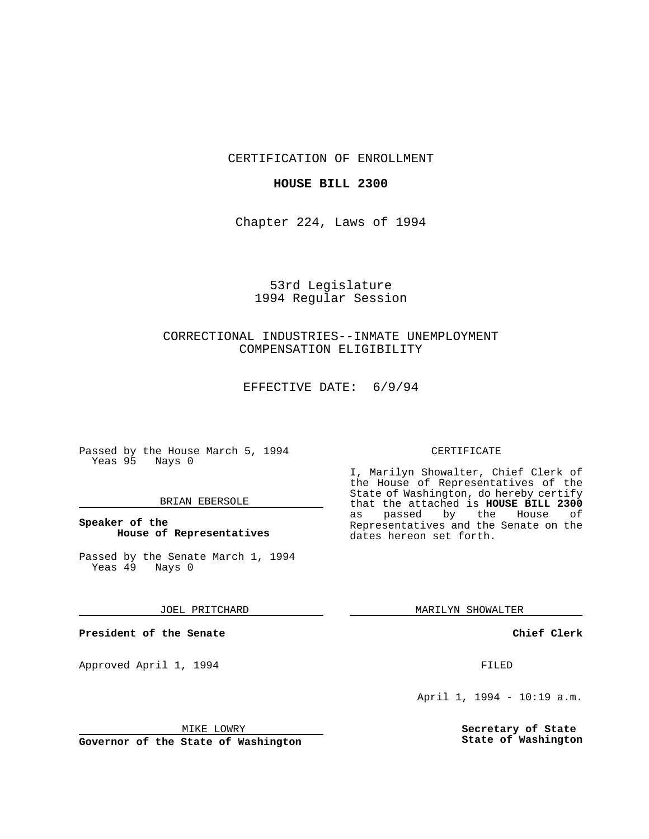CERTIFICATION OF ENROLLMENT

## **HOUSE BILL 2300**

Chapter 224, Laws of 1994

## 53rd Legislature 1994 Regular Session

# CORRECTIONAL INDUSTRIES--INMATE UNEMPLOYMENT COMPENSATION ELIGIBILITY

EFFECTIVE DATE: 6/9/94

Passed by the House March 5, 1994 Yeas 95 Nays 0

### BRIAN EBERSOLE

## **Speaker of the House of Representatives**

Passed by the Senate March 1, 1994 Yeas 49 Nays 0

JOEL PRITCHARD

**President of the Senate**

Approved April 1, 1994 **FILED** 

### MIKE LOWRY

**Governor of the State of Washington**

### CERTIFICATE

I, Marilyn Showalter, Chief Clerk of the House of Representatives of the State of Washington, do hereby certify that the attached is **HOUSE BILL 2300** as passed by the Representatives and the Senate on the dates hereon set forth.

MARILYN SHOWALTER

**Chief Clerk**

April 1, 1994 - 10:19 a.m.

**Secretary of State State of Washington**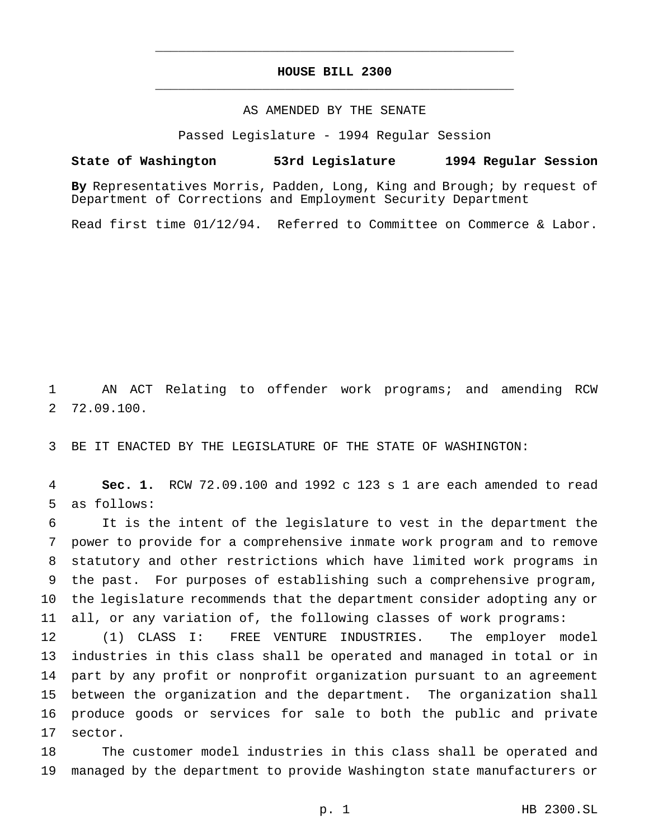# **HOUSE BILL 2300** \_\_\_\_\_\_\_\_\_\_\_\_\_\_\_\_\_\_\_\_\_\_\_\_\_\_\_\_\_\_\_\_\_\_\_\_\_\_\_\_\_\_\_\_\_\_\_

\_\_\_\_\_\_\_\_\_\_\_\_\_\_\_\_\_\_\_\_\_\_\_\_\_\_\_\_\_\_\_\_\_\_\_\_\_\_\_\_\_\_\_\_\_\_\_

### AS AMENDED BY THE SENATE

Passed Legislature - 1994 Regular Session

#### **State of Washington 53rd Legislature 1994 Regular Session**

**By** Representatives Morris, Padden, Long, King and Brough; by request of Department of Corrections and Employment Security Department

Read first time 01/12/94. Referred to Committee on Commerce & Labor.

 AN ACT Relating to offender work programs; and amending RCW 72.09.100.

BE IT ENACTED BY THE LEGISLATURE OF THE STATE OF WASHINGTON:

 **Sec. 1.** RCW 72.09.100 and 1992 c 123 s 1 are each amended to read as follows:

 It is the intent of the legislature to vest in the department the power to provide for a comprehensive inmate work program and to remove statutory and other restrictions which have limited work programs in the past. For purposes of establishing such a comprehensive program, the legislature recommends that the department consider adopting any or all, or any variation of, the following classes of work programs:

 (1) CLASS I: FREE VENTURE INDUSTRIES. The employer model industries in this class shall be operated and managed in total or in part by any profit or nonprofit organization pursuant to an agreement between the organization and the department. The organization shall produce goods or services for sale to both the public and private sector.

 The customer model industries in this class shall be operated and managed by the department to provide Washington state manufacturers or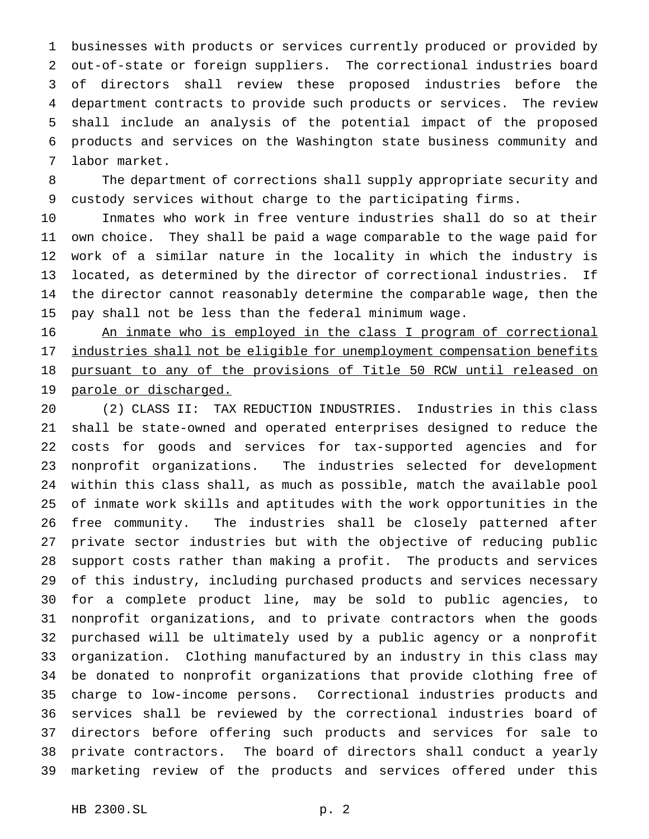businesses with products or services currently produced or provided by out-of-state or foreign suppliers. The correctional industries board of directors shall review these proposed industries before the department contracts to provide such products or services. The review shall include an analysis of the potential impact of the proposed products and services on the Washington state business community and labor market.

 The department of corrections shall supply appropriate security and custody services without charge to the participating firms.

 Inmates who work in free venture industries shall do so at their own choice. They shall be paid a wage comparable to the wage paid for work of a similar nature in the locality in which the industry is located, as determined by the director of correctional industries. If the director cannot reasonably determine the comparable wage, then the pay shall not be less than the federal minimum wage.

 An inmate who is employed in the class I program of correctional 17 industries shall not be eligible for unemployment compensation benefits pursuant to any of the provisions of Title 50 RCW until released on 19 parole or discharged.

 (2) CLASS II: TAX REDUCTION INDUSTRIES. Industries in this class shall be state-owned and operated enterprises designed to reduce the costs for goods and services for tax-supported agencies and for nonprofit organizations. The industries selected for development within this class shall, as much as possible, match the available pool of inmate work skills and aptitudes with the work opportunities in the free community. The industries shall be closely patterned after private sector industries but with the objective of reducing public support costs rather than making a profit. The products and services of this industry, including purchased products and services necessary for a complete product line, may be sold to public agencies, to nonprofit organizations, and to private contractors when the goods purchased will be ultimately used by a public agency or a nonprofit organization. Clothing manufactured by an industry in this class may be donated to nonprofit organizations that provide clothing free of charge to low-income persons. Correctional industries products and services shall be reviewed by the correctional industries board of directors before offering such products and services for sale to private contractors. The board of directors shall conduct a yearly marketing review of the products and services offered under this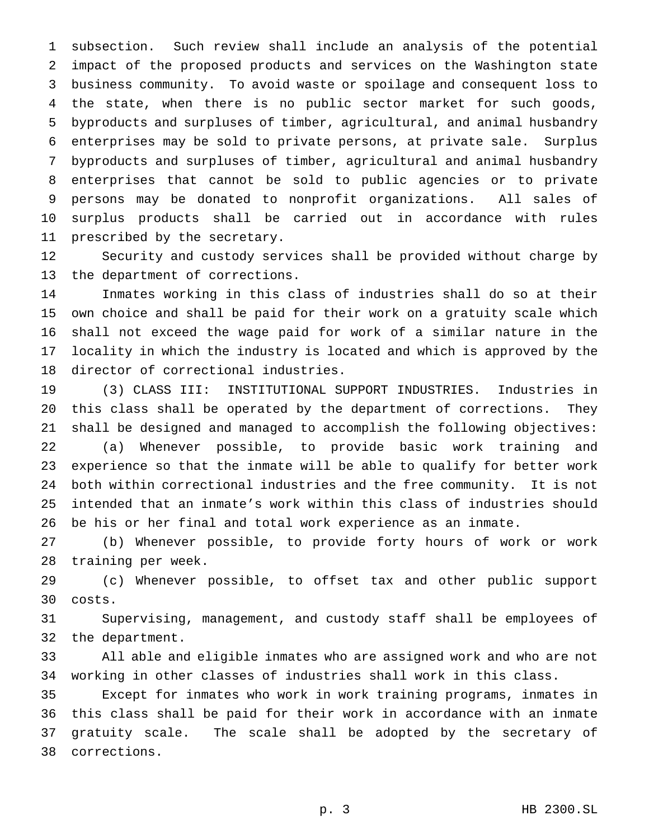subsection. Such review shall include an analysis of the potential impact of the proposed products and services on the Washington state business community. To avoid waste or spoilage and consequent loss to the state, when there is no public sector market for such goods, byproducts and surpluses of timber, agricultural, and animal husbandry enterprises may be sold to private persons, at private sale. Surplus byproducts and surpluses of timber, agricultural and animal husbandry enterprises that cannot be sold to public agencies or to private persons may be donated to nonprofit organizations. All sales of surplus products shall be carried out in accordance with rules prescribed by the secretary.

 Security and custody services shall be provided without charge by the department of corrections.

 Inmates working in this class of industries shall do so at their own choice and shall be paid for their work on a gratuity scale which shall not exceed the wage paid for work of a similar nature in the locality in which the industry is located and which is approved by the director of correctional industries.

 (3) CLASS III: INSTITUTIONAL SUPPORT INDUSTRIES. Industries in this class shall be operated by the department of corrections. They shall be designed and managed to accomplish the following objectives: (a) Whenever possible, to provide basic work training and experience so that the inmate will be able to qualify for better work both within correctional industries and the free community. It is not intended that an inmate's work within this class of industries should be his or her final and total work experience as an inmate.

 (b) Whenever possible, to provide forty hours of work or work training per week.

 (c) Whenever possible, to offset tax and other public support costs.

 Supervising, management, and custody staff shall be employees of the department.

 All able and eligible inmates who are assigned work and who are not working in other classes of industries shall work in this class.

 Except for inmates who work in work training programs, inmates in this class shall be paid for their work in accordance with an inmate gratuity scale. The scale shall be adopted by the secretary of corrections.